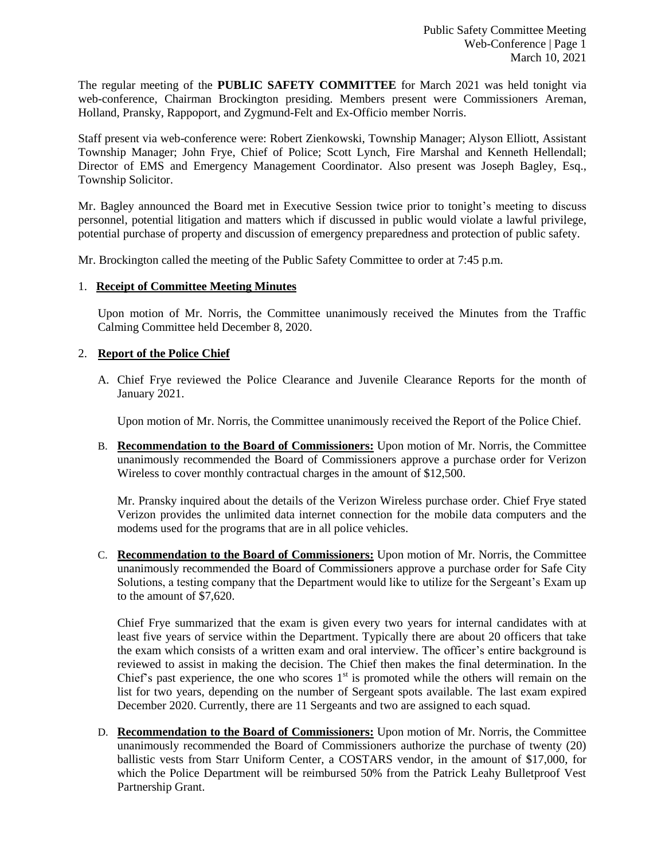The regular meeting of the **PUBLIC SAFETY COMMITTEE** for March 2021 was held tonight via web-conference, Chairman Brockington presiding. Members present were Commissioners Areman, Holland, Pransky, Rappoport, and Zygmund-Felt and Ex-Officio member Norris.

Staff present via web-conference were: Robert Zienkowski, Township Manager; Alyson Elliott, Assistant Township Manager; John Frye, Chief of Police; Scott Lynch, Fire Marshal and Kenneth Hellendall; Director of EMS and Emergency Management Coordinator. Also present was Joseph Bagley, Esq., Township Solicitor.

Mr. Bagley announced the Board met in Executive Session twice prior to tonight's meeting to discuss personnel, potential litigation and matters which if discussed in public would violate a lawful privilege, potential purchase of property and discussion of emergency preparedness and protection of public safety.

Mr. Brockington called the meeting of the Public Safety Committee to order at 7:45 p.m.

# 1. **Receipt of Committee Meeting Minutes**

Upon motion of Mr. Norris, the Committee unanimously received the Minutes from the Traffic Calming Committee held December 8, 2020.

# 2. **Report of the Police Chief**

A. Chief Frye reviewed the Police Clearance and Juvenile Clearance Reports for the month of January 2021.

Upon motion of Mr. Norris, the Committee unanimously received the Report of the Police Chief.

B. **Recommendation to the Board of Commissioners:** Upon motion of Mr. Norris, the Committee unanimously recommended the Board of Commissioners approve a purchase order for Verizon Wireless to cover monthly contractual charges in the amount of \$12,500.

Mr. Pransky inquired about the details of the Verizon Wireless purchase order. Chief Frye stated Verizon provides the unlimited data internet connection for the mobile data computers and the modems used for the programs that are in all police vehicles.

C. **Recommendation to the Board of Commissioners:** Upon motion of Mr. Norris, the Committee unanimously recommended the Board of Commissioners approve a purchase order for Safe City Solutions, a testing company that the Department would like to utilize for the Sergeant's Exam up to the amount of \$7,620.

Chief Frye summarized that the exam is given every two years for internal candidates with at least five years of service within the Department. Typically there are about 20 officers that take the exam which consists of a written exam and oral interview. The officer's entire background is reviewed to assist in making the decision. The Chief then makes the final determination. In the Chief's past experience, the one who scores  $1<sup>st</sup>$  is promoted while the others will remain on the list for two years, depending on the number of Sergeant spots available. The last exam expired December 2020. Currently, there are 11 Sergeants and two are assigned to each squad.

D. **Recommendation to the Board of Commissioners:** Upon motion of Mr. Norris, the Committee unanimously recommended the Board of Commissioners authorize the purchase of twenty (20) ballistic vests from Starr Uniform Center, a COSTARS vendor, in the amount of \$17,000, for which the Police Department will be reimbursed 50% from the Patrick Leahy Bulletproof Vest Partnership Grant.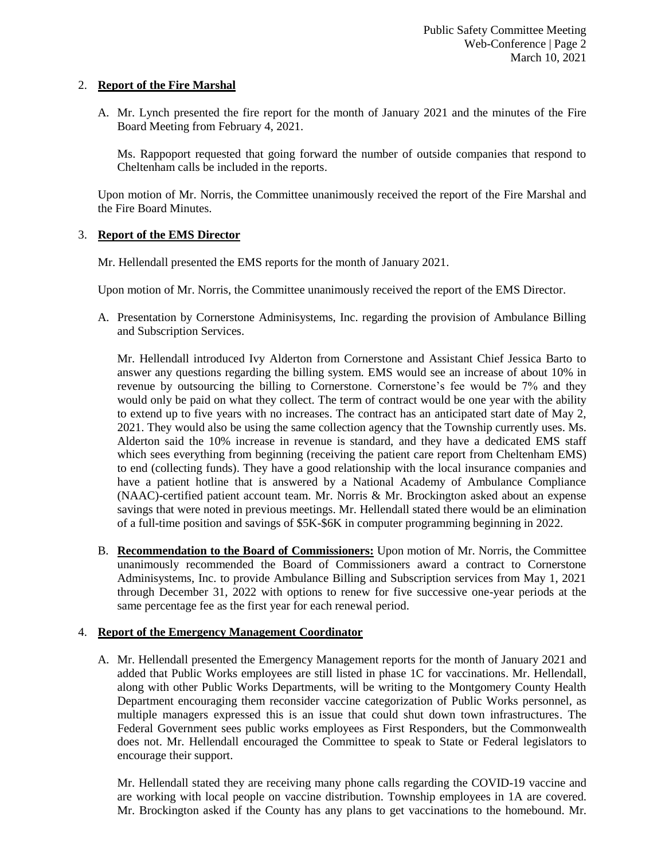### 2. **Report of the Fire Marshal**

A. Mr. Lynch presented the fire report for the month of January 2021 and the minutes of the Fire Board Meeting from February 4, 2021.

Ms. Rappoport requested that going forward the number of outside companies that respond to Cheltenham calls be included in the reports.

Upon motion of Mr. Norris, the Committee unanimously received the report of the Fire Marshal and the Fire Board Minutes.

#### 3. **Report of the EMS Director**

Mr. Hellendall presented the EMS reports for the month of January 2021.

Upon motion of Mr. Norris, the Committee unanimously received the report of the EMS Director.

A. Presentation by Cornerstone Adminisystems, Inc. regarding the provision of Ambulance Billing and Subscription Services.

Mr. Hellendall introduced Ivy Alderton from Cornerstone and Assistant Chief Jessica Barto to answer any questions regarding the billing system. EMS would see an increase of about 10% in revenue by outsourcing the billing to Cornerstone. Cornerstone's fee would be 7% and they would only be paid on what they collect. The term of contract would be one year with the ability to extend up to five years with no increases. The contract has an anticipated start date of May 2, 2021. They would also be using the same collection agency that the Township currently uses. Ms. Alderton said the 10% increase in revenue is standard, and they have a dedicated EMS staff which sees everything from beginning (receiving the patient care report from Cheltenham EMS) to end (collecting funds). They have a good relationship with the local insurance companies and have a patient hotline that is answered by a National Academy of Ambulance Compliance (NAAC)-certified patient account team. Mr. Norris & Mr. Brockington asked about an expense savings that were noted in previous meetings. Mr. Hellendall stated there would be an elimination of a full-time position and savings of \$5K-\$6K in computer programming beginning in 2022.

B. **Recommendation to the Board of Commissioners:** Upon motion of Mr. Norris, the Committee unanimously recommended the Board of Commissioners award a contract to Cornerstone Adminisystems, Inc. to provide Ambulance Billing and Subscription services from May 1, 2021 through December 31, 2022 with options to renew for five successive one-year periods at the same percentage fee as the first year for each renewal period.

### 4. **Report of the Emergency Management Coordinator**

A. Mr. Hellendall presented the Emergency Management reports for the month of January 2021 and added that Public Works employees are still listed in phase 1C for vaccinations. Mr. Hellendall, along with other Public Works Departments, will be writing to the Montgomery County Health Department encouraging them reconsider vaccine categorization of Public Works personnel, as multiple managers expressed this is an issue that could shut down town infrastructures. The Federal Government sees public works employees as First Responders, but the Commonwealth does not. Mr. Hellendall encouraged the Committee to speak to State or Federal legislators to encourage their support.

Mr. Hellendall stated they are receiving many phone calls regarding the COVID-19 vaccine and are working with local people on vaccine distribution. Township employees in 1A are covered. Mr. Brockington asked if the County has any plans to get vaccinations to the homebound. Mr.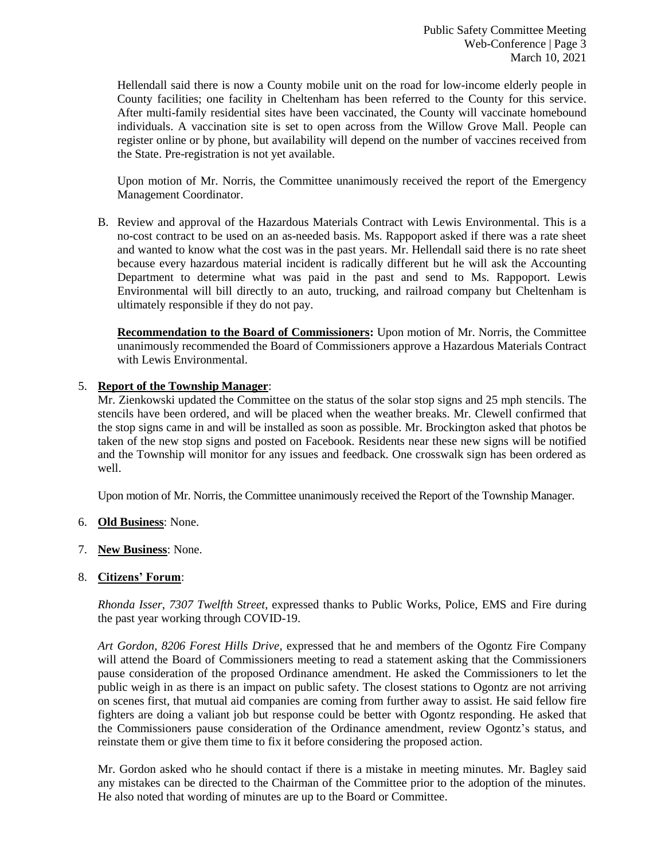Hellendall said there is now a County mobile unit on the road for low-income elderly people in County facilities; one facility in Cheltenham has been referred to the County for this service. After multi-family residential sites have been vaccinated, the County will vaccinate homebound individuals. A vaccination site is set to open across from the Willow Grove Mall. People can register online or by phone, but availability will depend on the number of vaccines received from the State. Pre-registration is not yet available.

Upon motion of Mr. Norris, the Committee unanimously received the report of the Emergency Management Coordinator.

B. Review and approval of the Hazardous Materials Contract with Lewis Environmental. This is a no-cost contract to be used on an as-needed basis. Ms. Rappoport asked if there was a rate sheet and wanted to know what the cost was in the past years. Mr. Hellendall said there is no rate sheet because every hazardous material incident is radically different but he will ask the Accounting Department to determine what was paid in the past and send to Ms. Rappoport. Lewis Environmental will bill directly to an auto, trucking, and railroad company but Cheltenham is ultimately responsible if they do not pay.

**Recommendation to the Board of Commissioners:** Upon motion of Mr. Norris, the Committee unanimously recommended the Board of Commissioners approve a Hazardous Materials Contract with Lewis Environmental.

# 5. **Report of the Township Manager**:

Mr. Zienkowski updated the Committee on the status of the solar stop signs and 25 mph stencils. The stencils have been ordered, and will be placed when the weather breaks. Mr. Clewell confirmed that the stop signs came in and will be installed as soon as possible. Mr. Brockington asked that photos be taken of the new stop signs and posted on Facebook. Residents near these new signs will be notified and the Township will monitor for any issues and feedback. One crosswalk sign has been ordered as well.

Upon motion of Mr. Norris, the Committee unanimously received the Report of the Township Manager.

- 6. **Old Business**: None.
- 7. **New Business**: None.

### 8. **Citizens' Forum**:

*Rhonda Isser*, *7307 Twelfth Street,* expressed thanks to Public Works, Police, EMS and Fire during the past year working through COVID-19.

*Art Gordon, 8206 Forest Hills Drive,* expressed that he and members of the Ogontz Fire Company will attend the Board of Commissioners meeting to read a statement asking that the Commissioners pause consideration of the proposed Ordinance amendment. He asked the Commissioners to let the public weigh in as there is an impact on public safety. The closest stations to Ogontz are not arriving on scenes first, that mutual aid companies are coming from further away to assist. He said fellow fire fighters are doing a valiant job but response could be better with Ogontz responding. He asked that the Commissioners pause consideration of the Ordinance amendment, review Ogontz's status, and reinstate them or give them time to fix it before considering the proposed action.

Mr. Gordon asked who he should contact if there is a mistake in meeting minutes. Mr. Bagley said any mistakes can be directed to the Chairman of the Committee prior to the adoption of the minutes. He also noted that wording of minutes are up to the Board or Committee.